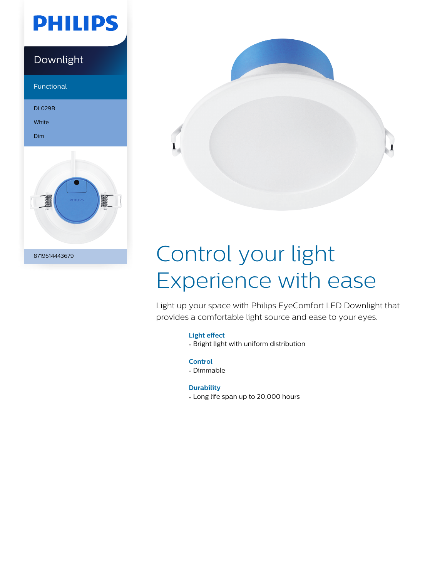# **PHILIPS**

### Downlight

Functional

DL029B

White

Dim





# Control your light Experience with ease

Light up your space with Philips EyeComfort LED Downlight that provides a comfortable light source and ease to your eyes.

#### **Light effect**

• Bright light with uniform distribution

**Control**

• Dimmable

#### **Durability**

• Long life span up to 20,000 hours